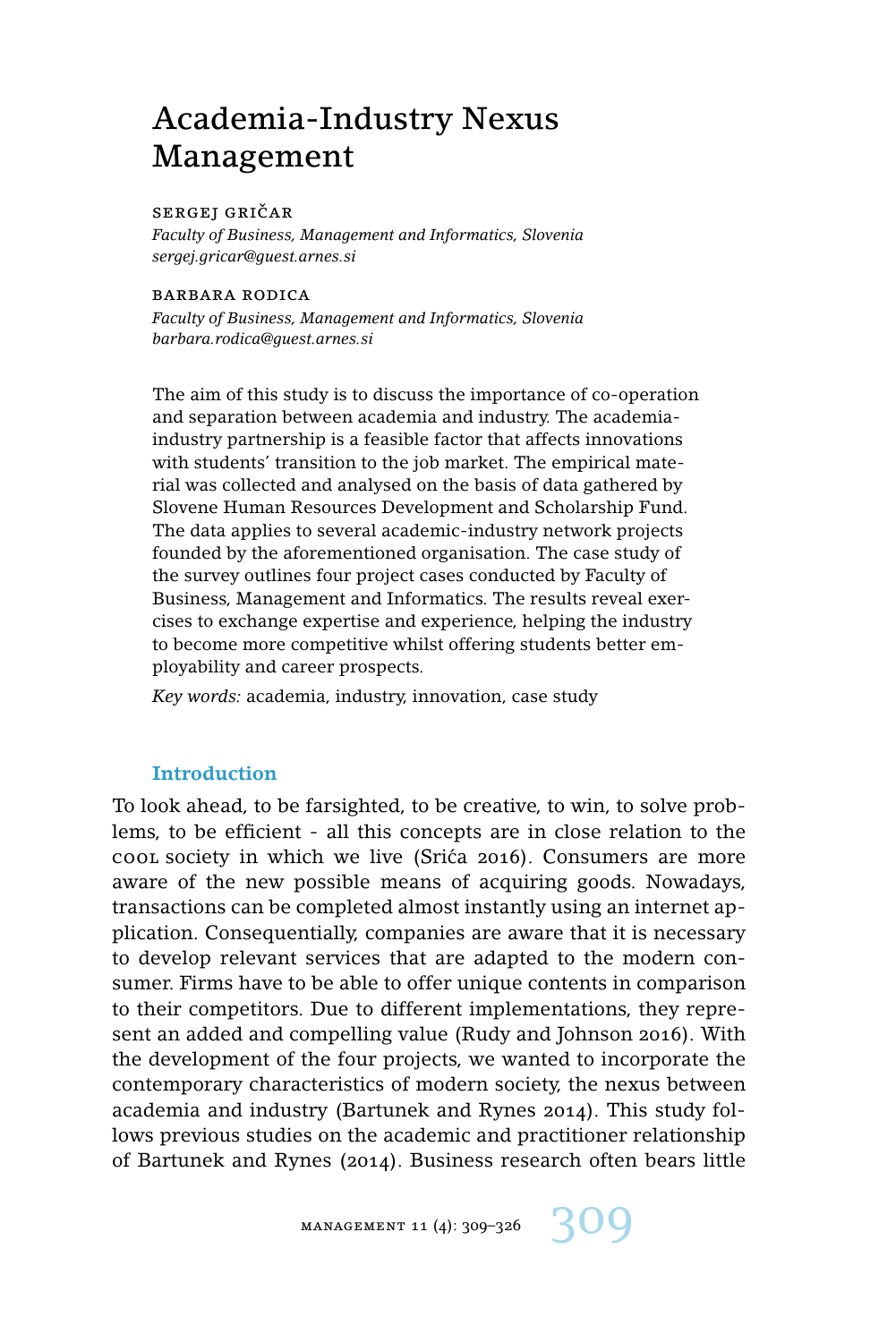# Academia-Industry Nexus Management

## SERGEJ GRIČAR

*Faculty of Business, Management and Informatics, Slovenia sergej.gricar@guest.arnes.si*

#### barbara rodica

*Faculty of Business, Management and Informatics, Slovenia barbara.rodica@guest.arnes.si*

The aim of this study is to discuss the importance of co-operation and separation between academia and industry. The academiaindustry partnership is a feasible factor that affects innovations with students' transition to the job market. The empirical material was collected and analysed on the basis of data gathered by Slovene Human Resources Development and Scholarship Fund. The data applies to several academic-industry network projects founded by the aforementioned organisation. The case study of the survey outlines four project cases conducted by Faculty of Business, Management and Informatics. The results reveal exercises to exchange expertise and experience, helping the industry to become more competitive whilst offering students better employability and career prospects.

*Key words:* academia, industry, innovation, case study

## **Introduction**

To look ahead, to be farsighted, to be creative, to win, to solve problems, to be efficient - all this concepts are in close relation to the cool society in which we live (Srica 2016). Consumers are more ´ aware of the new possible means of acquiring goods. Nowadays, transactions can be completed almost instantly using an internet application. Consequentially, companies are aware that it is necessary to develop relevant services that are adapted to the modern consumer. Firms have to be able to offer unique contents in comparison to their competitors. Due to different implementations, they represent an added and compelling value (Rudy and Johnson 2016). With the development of the four projects, we wanted to incorporate the contemporary characteristics of modern society, the nexus between academia and industry (Bartunek and Rynes 2014). This study follows previous studies on the academic and practitioner relationship of Bartunek and Rynes (2014). Business research often bears little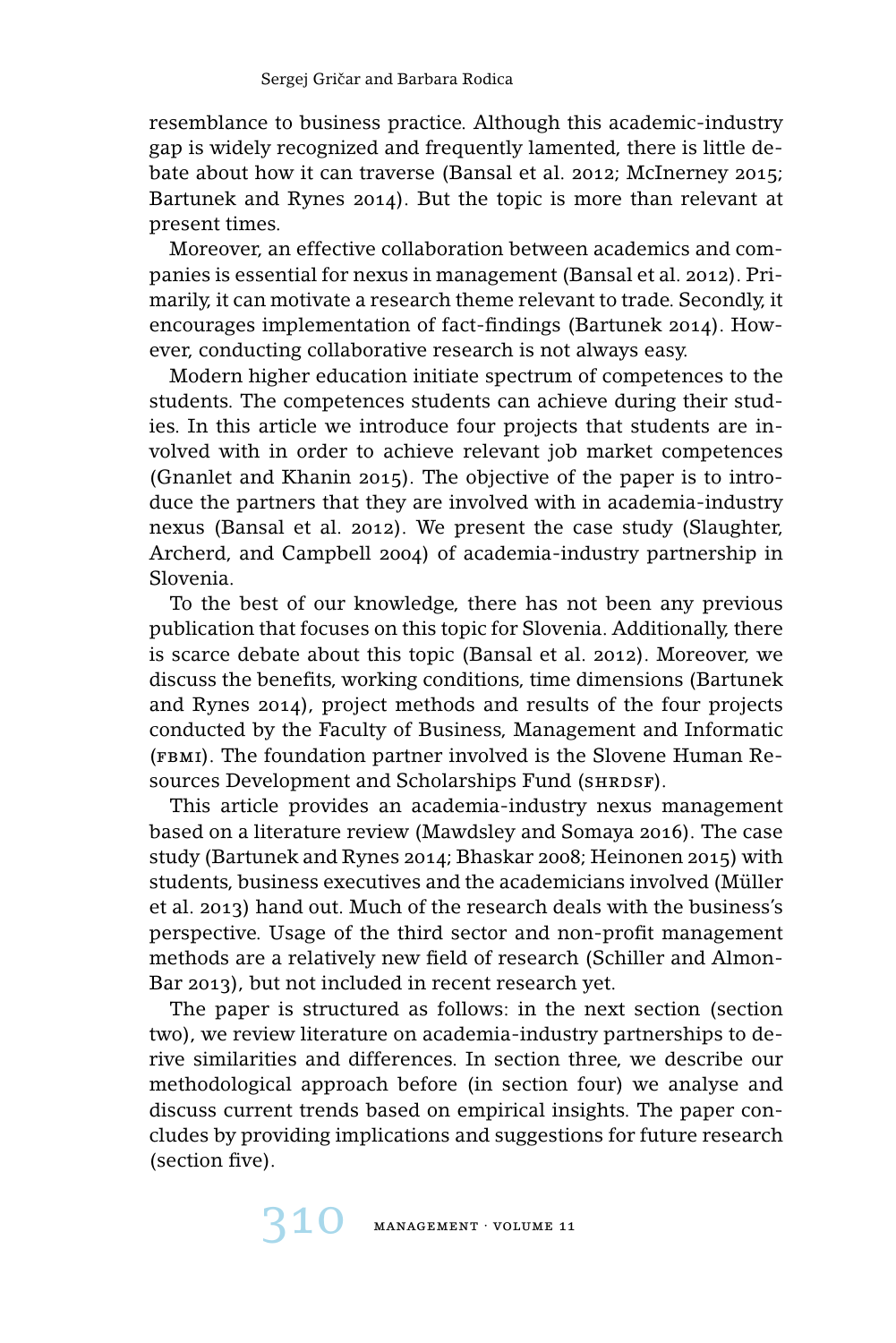resemblance to business practice. Although this academic-industry gap is widely recognized and frequently lamented, there is little debate about how it can traverse (Bansal et al. 2012; McInerney 2015; Bartunek and Rynes 2014). But the topic is more than relevant at present times.

Moreover, an effective collaboration between academics and companies is essential for nexus in management (Bansal et al. 2012). Primarily, it can motivate a research theme relevant to trade. Secondly, it encourages implementation of fact-findings (Bartunek 2014). However, conducting collaborative research is not always easy.

Modern higher education initiate spectrum of competences to the students. The competences students can achieve during their studies. In this article we introduce four projects that students are involved with in order to achieve relevant job market competences (Gnanlet and Khanin 2015). The objective of the paper is to introduce the partners that they are involved with in academia-industry nexus (Bansal et al. 2012). We present the case study (Slaughter, Archerd, and Campbell 2004) of academia-industry partnership in Slovenia.

To the best of our knowledge, there has not been any previous publication that focuses on this topic for Slovenia. Additionally, there is scarce debate about this topic (Bansal et al. 2012). Moreover, we discuss the benefits, working conditions, time dimensions (Bartunek and Rynes 2014), project methods and results of the four projects conducted by the Faculty of Business, Management and Informatic (fbmi). The foundation partner involved is the Slovene Human Resources Development and Scholarships Fund (SHRDSF).

This article provides an academia-industry nexus management based on a literature review (Mawdsley and Somaya 2016). The case study (Bartunek and Rynes 2014; Bhaskar 2008; Heinonen 2015) with students, business executives and the academicians involved (Müller et al. 2013) hand out. Much of the research deals with the business's perspective. Usage of the third sector and non-profit management methods are a relatively new field of research (Schiller and Almon-Bar 2013), but not included in recent research yet.

The paper is structured as follows: in the next section (section two), we review literature on academia-industry partnerships to derive similarities and differences. In section three, we describe our methodological approach before (in section four) we analyse and discuss current trends based on empirical insights. The paper concludes by providing implications and suggestions for future research (section five).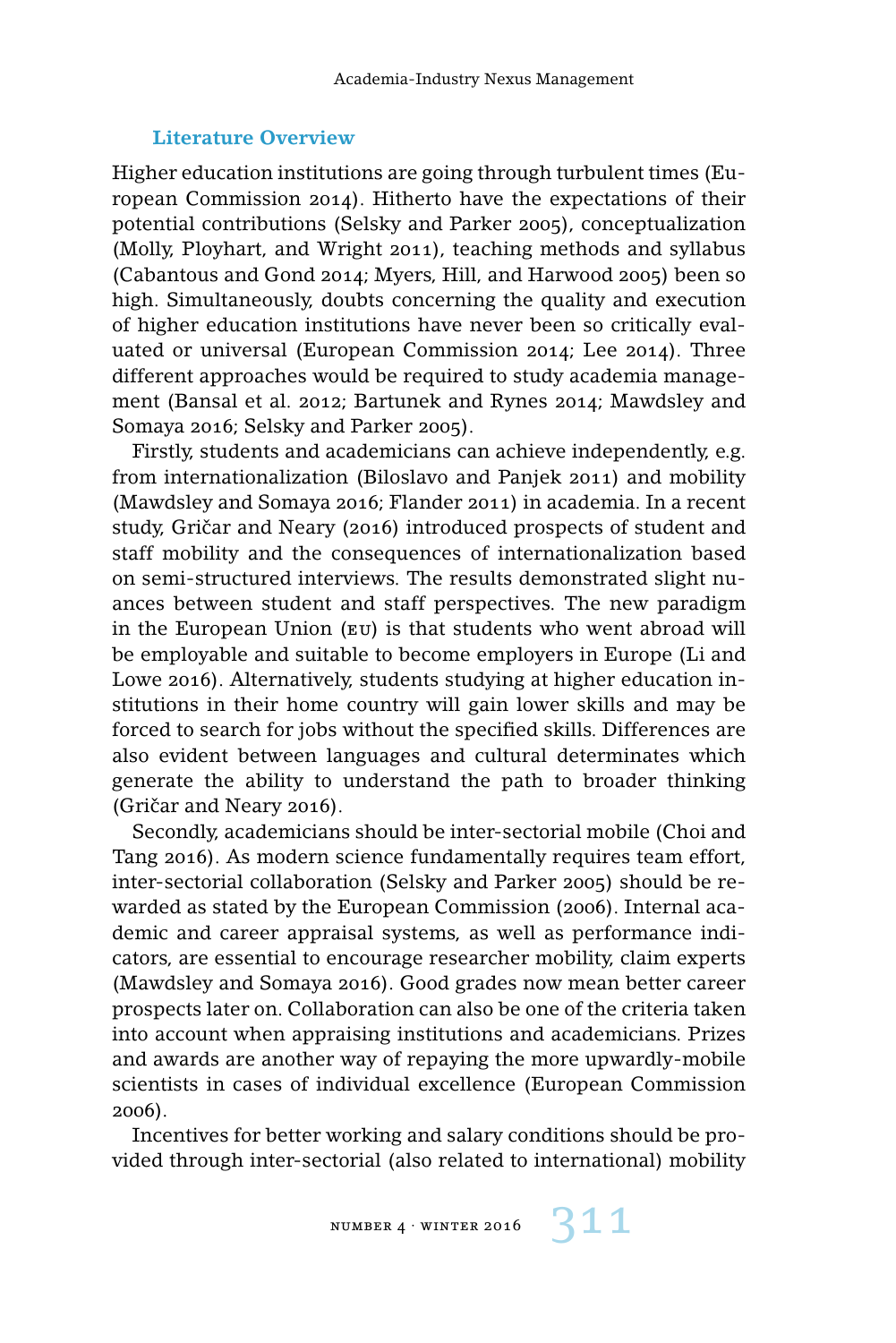## **Literature Overview**

Higher education institutions are going through turbulent times (European Commission 2014). Hitherto have the expectations of their potential contributions (Selsky and Parker 2005), conceptualization (Molly, Ployhart, and Wright 2011), teaching methods and syllabus (Cabantous and Gond 2014; Myers, Hill, and Harwood 2005) been so high. Simultaneously, doubts concerning the quality and execution of higher education institutions have never been so critically evaluated or universal (European Commission 2014; Lee 2014). Three different approaches would be required to study academia management (Bansal et al. 2012; Bartunek and Rynes 2014; Mawdsley and Somaya 2016; Selsky and Parker 2005).

Firstly, students and academicians can achieve independently, e.g. from internationalization (Biloslavo and Panjek 2011) and mobility (Mawdsley and Somaya 2016; Flander 2011) in academia. In a recent study, Gričar and Neary (2016) introduced prospects of student and staff mobility and the consequences of internationalization based on semi-structured interviews. The results demonstrated slight nuances between student and staff perspectives. The new paradigm in the European Union (eu) is that students who went abroad will be employable and suitable to become employers in Europe (Li and Lowe 2016). Alternatively, students studying at higher education institutions in their home country will gain lower skills and may be forced to search for jobs without the specified skills. Differences are also evident between languages and cultural determinates which generate the ability to understand the path to broader thinking  $(Gričar and Neary 2016)$ .

Secondly, academicians should be inter-sectorial mobile (Choi and Tang 2016). As modern science fundamentally requires team effort, inter-sectorial collaboration (Selsky and Parker 2005) should be rewarded as stated by the European Commission (2006). Internal academic and career appraisal systems, as well as performance indicators, are essential to encourage researcher mobility, claim experts (Mawdsley and Somaya 2016). Good grades now mean better career prospects later on. Collaboration can also be one of the criteria taken into account when appraising institutions and academicians. Prizes and awards are another way of repaying the more upwardly-mobile scientists in cases of individual excellence (European Commission 2006).

Incentives for better working and salary conditions should be provided through inter-sectorial (also related to international) mobility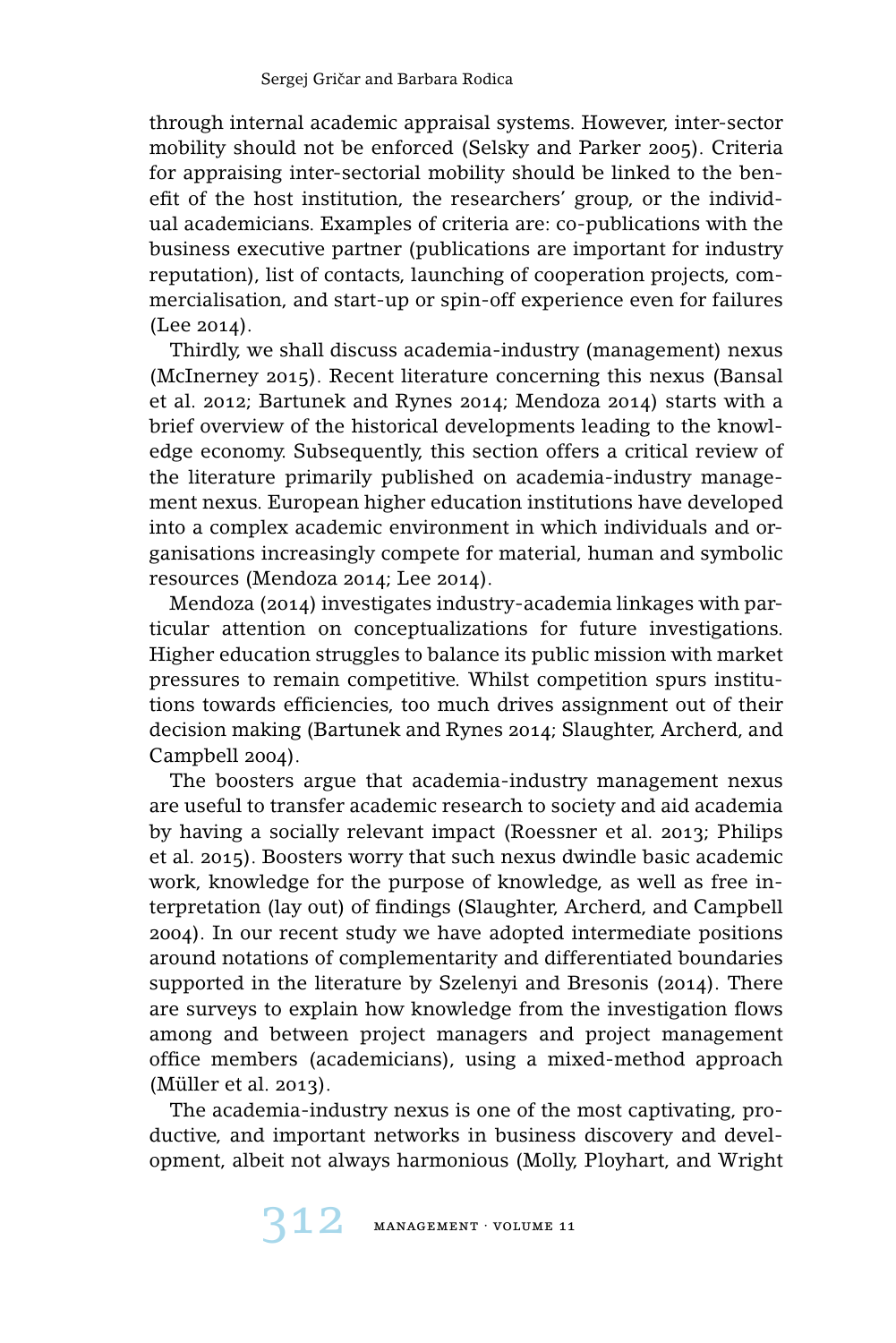through internal academic appraisal systems. However, inter-sector mobility should not be enforced (Selsky and Parker 2005). Criteria for appraising inter-sectorial mobility should be linked to the benefit of the host institution, the researchers' group, or the individual academicians. Examples of criteria are: co-publications with the business executive partner (publications are important for industry reputation), list of contacts, launching of cooperation projects, commercialisation, and start-up or spin-off experience even for failures (Lee 2014).

Thirdly, we shall discuss academia-industry (management) nexus (McInerney 2015). Recent literature concerning this nexus (Bansal et al. 2012; Bartunek and Rynes 2014; Mendoza 2014) starts with a brief overview of the historical developments leading to the knowledge economy. Subsequently, this section offers a critical review of the literature primarily published on academia-industry management nexus. European higher education institutions have developed into a complex academic environment in which individuals and organisations increasingly compete for material, human and symbolic resources (Mendoza 2014; Lee 2014).

Mendoza (2014) investigates industry-academia linkages with particular attention on conceptualizations for future investigations. Higher education struggles to balance its public mission with market pressures to remain competitive. Whilst competition spurs institutions towards efficiencies, too much drives assignment out of their decision making (Bartunek and Rynes 2014; Slaughter, Archerd, and Campbell 2004).

The boosters argue that academia-industry management nexus are useful to transfer academic research to society and aid academia by having a socially relevant impact (Roessner et al. 2013; Philips et al. 2015). Boosters worry that such nexus dwindle basic academic work, knowledge for the purpose of knowledge, as well as free interpretation (lay out) of findings (Slaughter, Archerd, and Campbell 2004). In our recent study we have adopted intermediate positions around notations of complementarity and differentiated boundaries supported in the literature by Szelenyi and Bresonis (2014). There are surveys to explain how knowledge from the investigation flows among and between project managers and project management office members (academicians), using a mixed-method approach (Müller et al. 2013).

The academia-industry nexus is one of the most captivating, productive, and important networks in business discovery and development, albeit not always harmonious (Molly, Ployhart, and Wright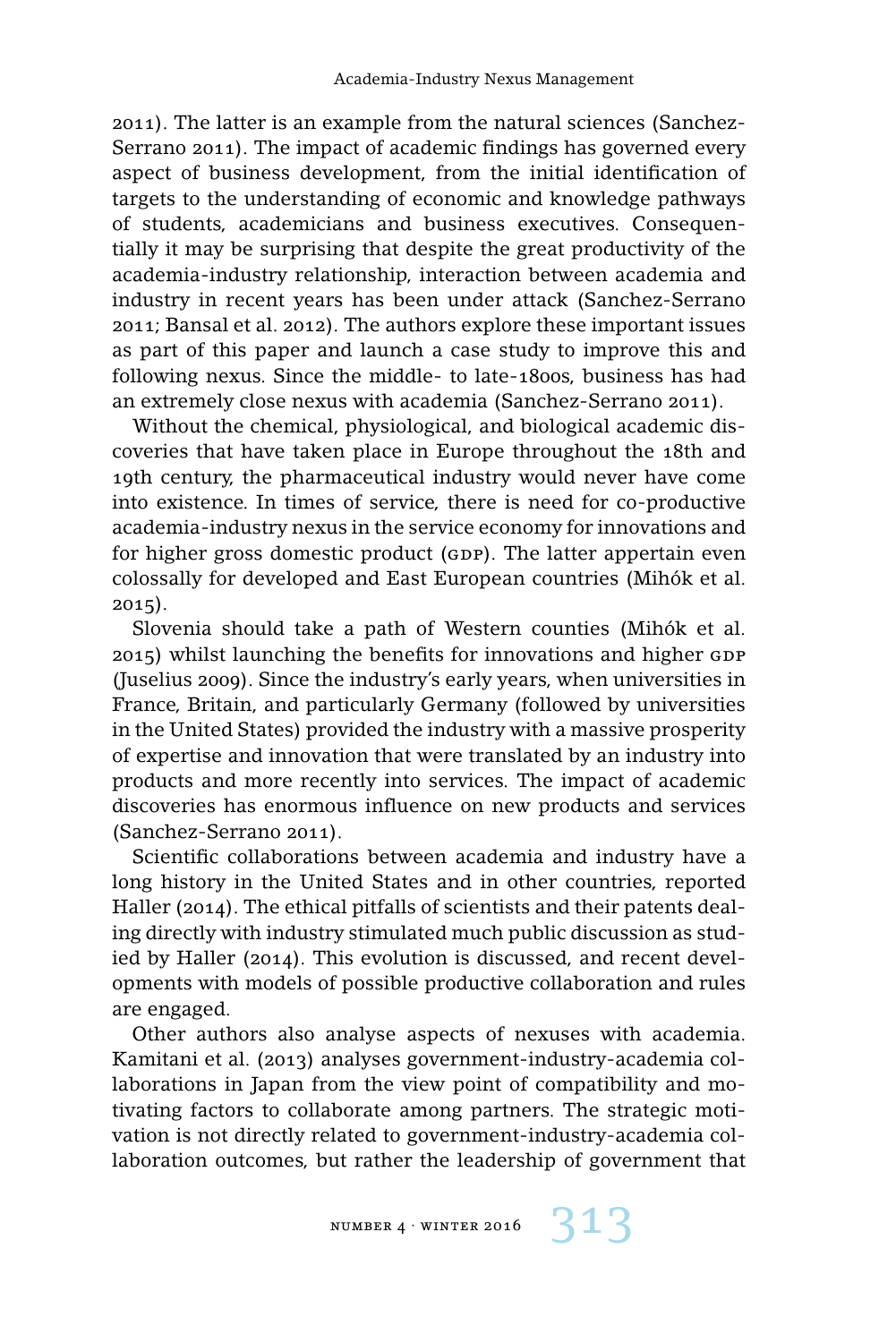2011). The latter is an example from the natural sciences (Sanchez-Serrano 2011). The impact of academic findings has governed every aspect of business development, from the initial identification of targets to the understanding of economic and knowledge pathways of students, academicians and business executives. Consequentially it may be surprising that despite the great productivity of the academia-industry relationship, interaction between academia and industry in recent years has been under attack (Sanchez-Serrano 2011; Bansal et al. 2012). The authors explore these important issues as part of this paper and launch a case study to improve this and following nexus. Since the middle- to late-1800s, business has had an extremely close nexus with academia (Sanchez-Serrano 2011).

Without the chemical, physiological, and biological academic discoveries that have taken place in Europe throughout the 18th and 19th century, the pharmaceutical industry would never have come into existence. In times of service, there is need for co-productive academia-industry nexus in the service economy for innovations and for higher gross domestic product (GDP). The latter appertain even colossally for developed and East European countries (Mihók et al. 2015).

Slovenia should take a path of Western counties (Mihók et al.  $2015$ ) whilst launching the benefits for innovations and higher GDP (Juselius 2009). Since the industry's early years, when universities in France, Britain, and particularly Germany (followed by universities in the United States) provided the industry with a massive prosperity of expertise and innovation that were translated by an industry into products and more recently into services. The impact of academic discoveries has enormous influence on new products and services (Sanchez-Serrano 2011).

Scientific collaborations between academia and industry have a long history in the United States and in other countries, reported Haller (2014). The ethical pitfalls of scientists and their patents dealing directly with industry stimulated much public discussion as studied by Haller (2014). This evolution is discussed, and recent developments with models of possible productive collaboration and rules are engaged.

Other authors also analyse aspects of nexuses with academia. Kamitani et al. (2013) analyses government-industry-academia collaborations in Japan from the view point of compatibility and motivating factors to collaborate among partners. The strategic motivation is not directly related to government-industry-academia collaboration outcomes, but rather the leadership of government that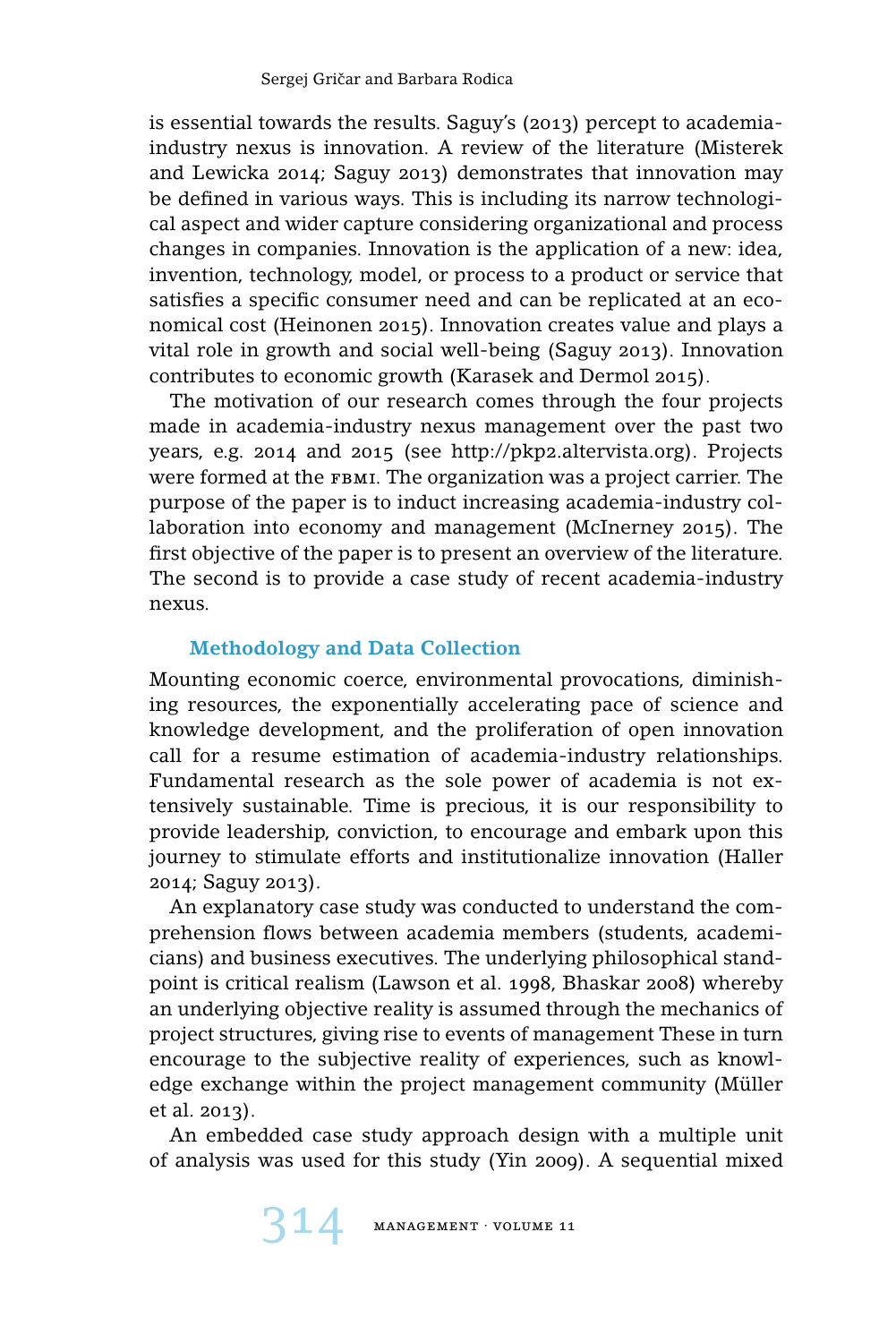is essential towards the results. Saguy's (2013) percept to academiaindustry nexus is innovation. A review of the literature (Misterek and Lewicka 2014; Saguy 2013) demonstrates that innovation may be defined in various ways. This is including its narrow technological aspect and wider capture considering organizational and process changes in companies. Innovation is the application of a new: idea, invention, technology, model, or process to a product or service that satisfies a specific consumer need and can be replicated at an economical cost (Heinonen 2015). Innovation creates value and plays a vital role in growth and social well-being (Saguy 2013). Innovation contributes to economic growth (Karasek and Dermol 2015).

The motivation of our research comes through the four projects made in academia-industry nexus management over the past two years, e.g. 2014 and 2015 (see http://pkp2.altervista.org). Projects were formed at the FBMI. The organization was a project carrier. The purpose of the paper is to induct increasing academia-industry collaboration into economy and management (McInerney 2015). The first objective of the paper is to present an overview of the literature. The second is to provide a case study of recent academia-industry nexus.

# **Methodology and Data Collection**

Mounting economic coerce, environmental provocations, diminishing resources, the exponentially accelerating pace of science and knowledge development, and the proliferation of open innovation call for a resume estimation of academia-industry relationships. Fundamental research as the sole power of academia is not extensively sustainable. Time is precious, it is our responsibility to provide leadership, conviction, to encourage and embark upon this journey to stimulate efforts and institutionalize innovation (Haller 2014; Saguy 2013).

An explanatory case study was conducted to understand the comprehension flows between academia members (students, academicians) and business executives. The underlying philosophical standpoint is critical realism (Lawson et al. 1998, Bhaskar 2008) whereby an underlying objective reality is assumed through the mechanics of project structures, giving rise to events of management These in turn encourage to the subjective reality of experiences, such as knowledge exchange within the project management community (Müller et al. 2013).

An embedded case study approach design with a multiple unit of analysis was used for this study (Yin 2009). A sequential mixed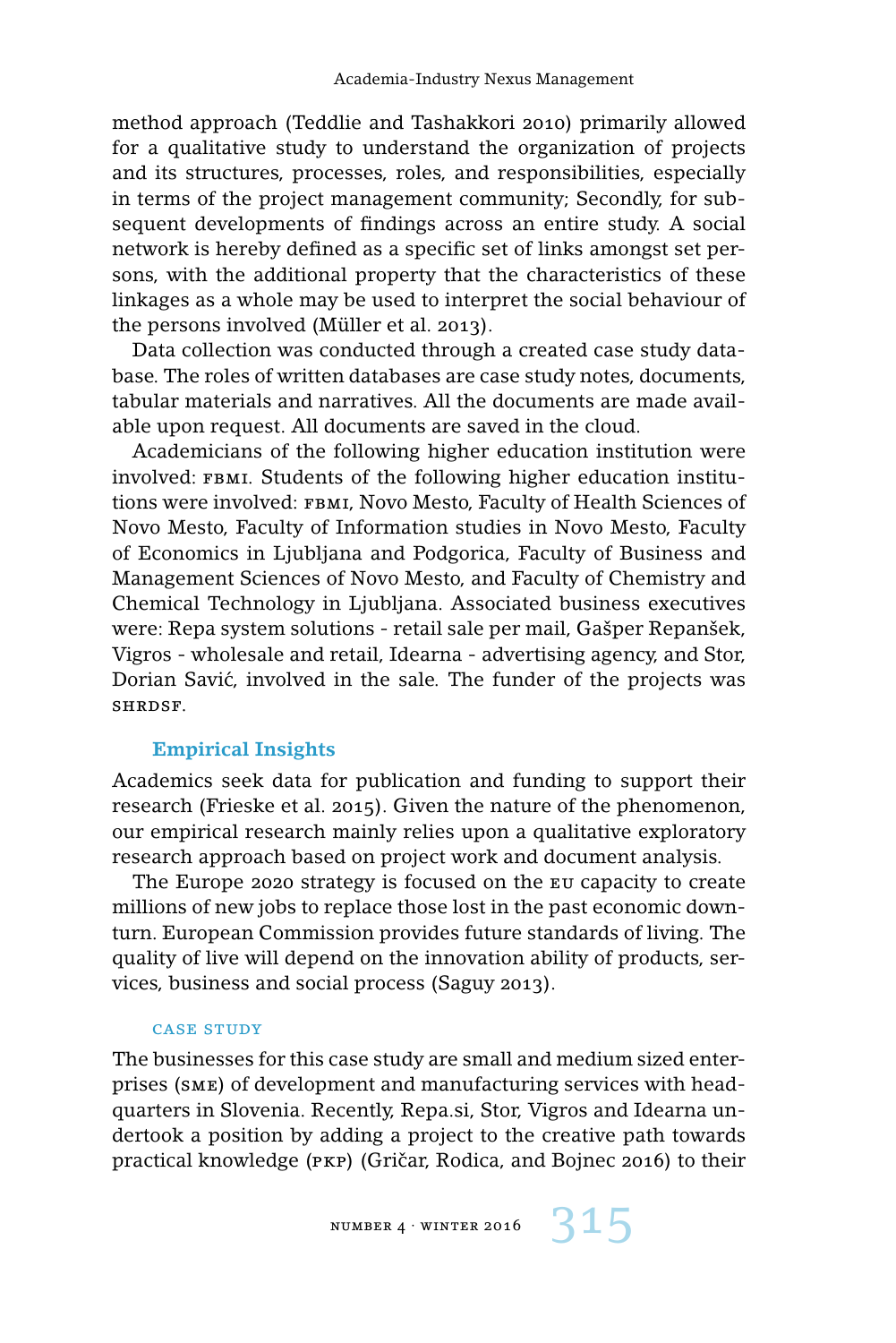method approach (Teddlie and Tashakkori 2010) primarily allowed for a qualitative study to understand the organization of projects and its structures, processes, roles, and responsibilities, especially in terms of the project management community; Secondly, for subsequent developments of findings across an entire study. A social network is hereby defined as a specific set of links amongst set persons, with the additional property that the characteristics of these linkages as a whole may be used to interpret the social behaviour of the persons involved (Müller et al. 2013).

Data collection was conducted through a created case study database. The roles of written databases are case study notes, documents, tabular materials and narratives. All the documents are made available upon request. All documents are saved in the cloud.

Academicians of the following higher education institution were involved: FBMI. Students of the following higher education institutions were involved: FBMI, Novo Mesto, Faculty of Health Sciences of Novo Mesto, Faculty of Information studies in Novo Mesto, Faculty of Economics in Ljubljana and Podgorica, Faculty of Business and Management Sciences of Novo Mesto, and Faculty of Chemistry and Chemical Technology in Ljubljana. Associated business executives were: Repa system solutions - retail sale per mail, Gašper Repanšek, Vigros - wholesale and retail, Idearna - advertising agency, and Stor, Dorian Savic, involved in the sale. The funder of the projects was ´ shrdsf.

## **Empirical Insights**

Academics seek data for publication and funding to support their research (Frieske et al. 2015). Given the nature of the phenomenon, our empirical research mainly relies upon a qualitative exploratory research approach based on project work and document analysis.

The Europe 2020 strategy is focused on the eu capacity to create millions of new jobs to replace those lost in the past economic downturn. European Commission provides future standards of living. The quality of live will depend on the innovation ability of products, services, business and social process (Saguy 2013).

#### case study

The businesses for this case study are small and medium sized enterprises (sme) of development and manufacturing services with headquarters in Slovenia. Recently, Repa.si, Stor, Vigros and Idearna undertook a position by adding a project to the creative path towards practical knowledge (PKP) (Gričar, Rodica, and Bojnec 2016) to their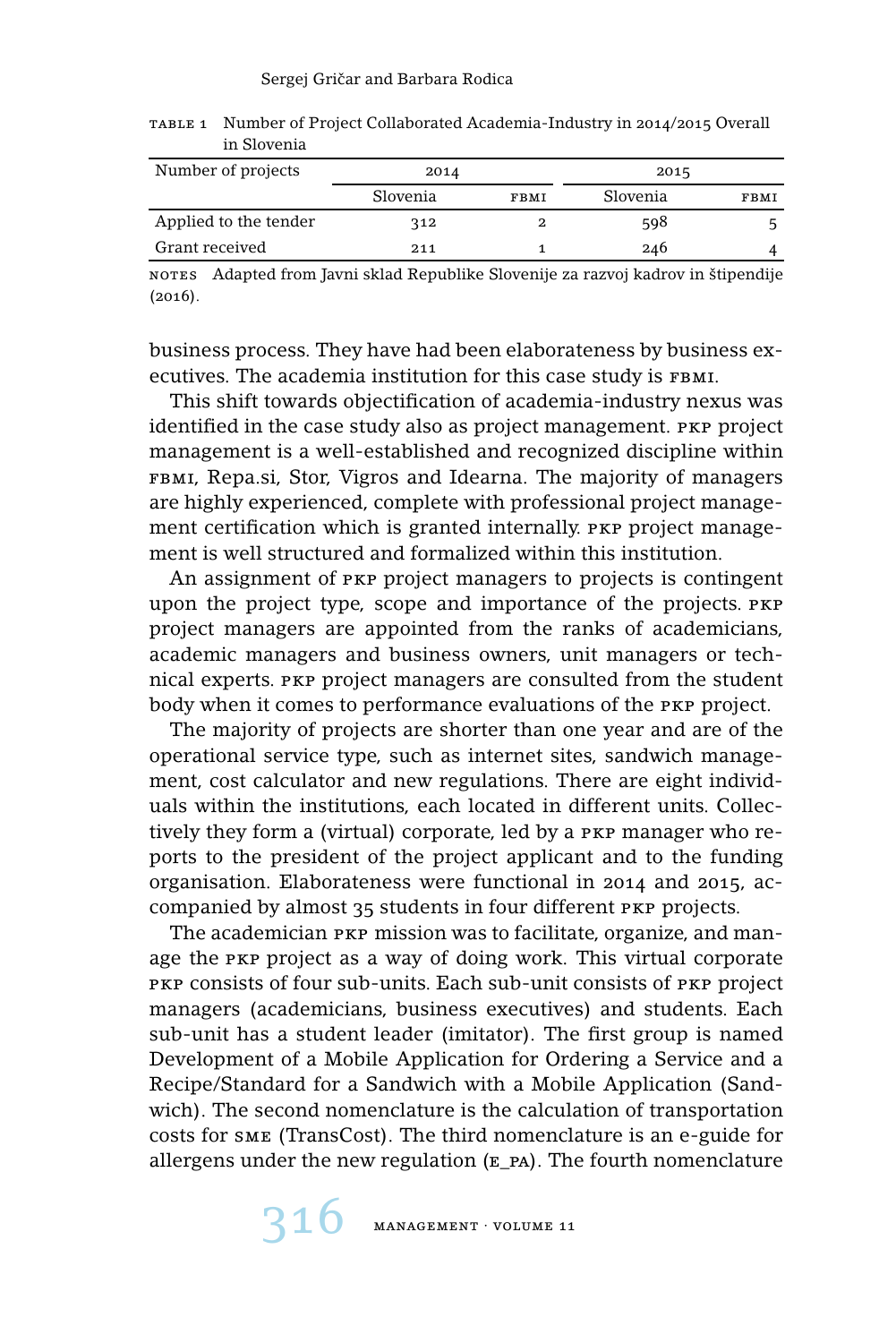| Number of projects    | 2014     |             | 2015     |      |
|-----------------------|----------|-------------|----------|------|
|                       | Slovenia | <b>FBMI</b> | Slovenia | FBMI |
| Applied to the tender | 312      |             | 598      |      |
| Grant received        | 211      |             | 246      |      |

table 1 Number of Project Collaborated Academia-Industry in 2014/2015 Overall in Slovenia

notes Adapted from Javni sklad Republike Slovenije za razvoj kadrov in štipendije (2016).

business process. They have had been elaborateness by business executives. The academia institution for this case study is FBMI.

This shift towards objectification of academia-industry nexus was identified in the case study also as project management. PKP project management is a well-established and recognized discipline within FBMI, Repa.si, Stor, Vigros and Idearna. The majority of managers are highly experienced, complete with professional project management certification which is granted internally. PKP project management is well structured and formalized within this institution.

An assignment of pkp project managers to projects is contingent upon the project type, scope and importance of the projects. pkp project managers are appointed from the ranks of academicians, academic managers and business owners, unit managers or technical experts. PKP project managers are consulted from the student body when it comes to performance evaluations of the PKP project.

The majority of projects are shorter than one year and are of the operational service type, such as internet sites, sandwich management, cost calculator and new regulations. There are eight individuals within the institutions, each located in different units. Collectively they form a (virtual) corporate, led by a pkp manager who reports to the president of the project applicant and to the funding organisation. Elaborateness were functional in 2014 and 2015, accompanied by almost 35 students in four different PKP projects.

The academician PKP mission was to facilitate, organize, and manage the PKP project as a way of doing work. This virtual corporate pkp consists of four sub-units. Each sub-unit consists of pkp project managers (academicians, business executives) and students. Each sub-unit has a student leader (imitator). The first group is named Development of a Mobile Application for Ordering a Service and a Recipe/Standard for a Sandwich with a Mobile Application (Sandwich). The second nomenclature is the calculation of transportation costs for sme (TransCost). The third nomenclature is an e-guide for allergens under the new regulation  $(E<sub>p</sub>A)$ . The fourth nomenclature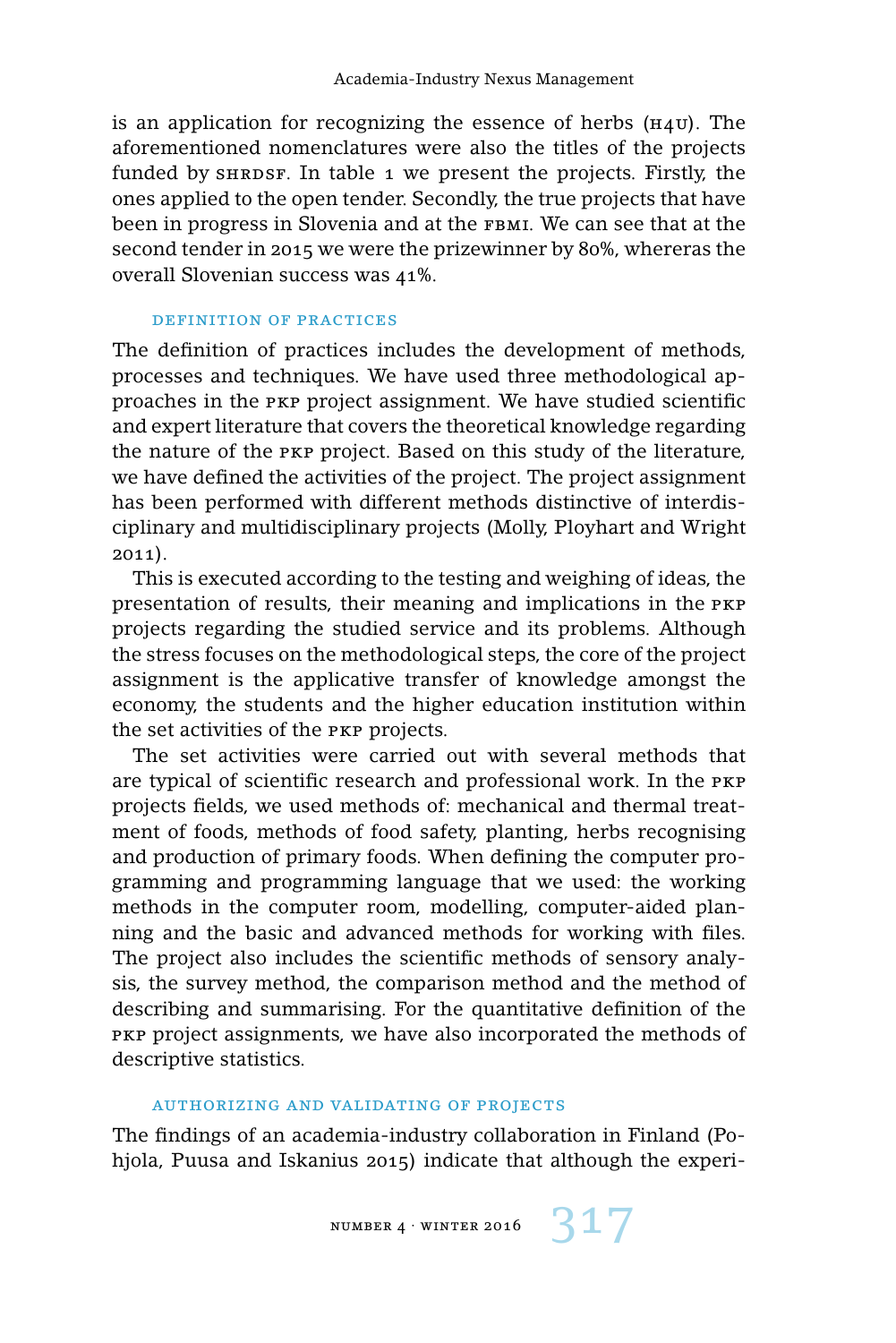is an application for recognizing the essence of herbs  $(H_4U)$ . The aforementioned nomenclatures were also the titles of the projects funded by  $SHRDSF$ . In table 1 we present the projects. Firstly, the ones applied to the open tender. Secondly, the true projects that have been in progress in Slovenia and at the FBMI. We can see that at the second tender in 2015 we were the prizewinner by 80%, whereras the overall Slovenian success was 41%.

#### definition of practices

The definition of practices includes the development of methods, processes and techniques. We have used three methodological approaches in the pkp project assignment. We have studied scientific and expert literature that covers the theoretical knowledge regarding the nature of the pkp project. Based on this study of the literature, we have defined the activities of the project. The project assignment has been performed with different methods distinctive of interdisciplinary and multidisciplinary projects (Molly, Ployhart and Wright 2011).

This is executed according to the testing and weighing of ideas, the presentation of results, their meaning and implications in the pkp projects regarding the studied service and its problems. Although the stress focuses on the methodological steps, the core of the project assignment is the applicative transfer of knowledge amongst the economy, the students and the higher education institution within the set activities of the pkp projects.

The set activities were carried out with several methods that are typical of scientific research and professional work. In the pkp projects fields, we used methods of: mechanical and thermal treatment of foods, methods of food safety, planting, herbs recognising and production of primary foods. When defining the computer programming and programming language that we used: the working methods in the computer room, modelling, computer-aided planning and the basic and advanced methods for working with files. The project also includes the scientific methods of sensory analysis, the survey method, the comparison method and the method of describing and summarising. For the quantitative definition of the PKP project assignments, we have also incorporated the methods of descriptive statistics.

#### authorizing and validating of projects

The findings of an academia-industry collaboration in Finland (Pohjola, Puusa and Iskanius 2015) indicate that although the experi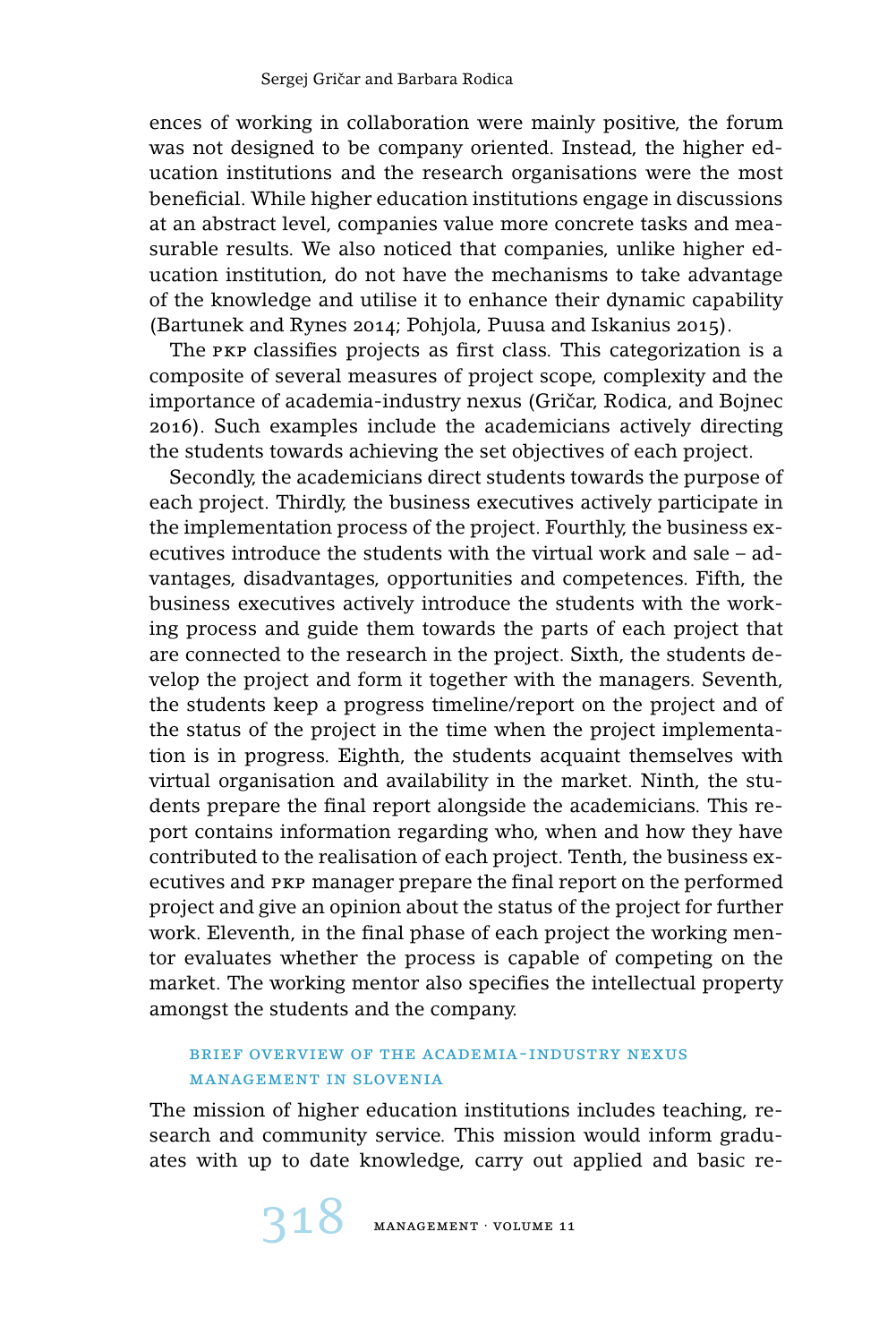ences of working in collaboration were mainly positive, the forum was not designed to be company oriented. Instead, the higher education institutions and the research organisations were the most beneficial. While higher education institutions engage in discussions at an abstract level, companies value more concrete tasks and measurable results. We also noticed that companies, unlike higher education institution, do not have the mechanisms to take advantage of the knowledge and utilise it to enhance their dynamic capability (Bartunek and Rynes 2014; Pohjola, Puusa and Iskanius 2015).

The pkp classifies projects as first class. This categorization is a composite of several measures of project scope, complexity and the importance of academia-industry nexus (Gričar, Rodica, and Bojnec 2016). Such examples include the academicians actively directing the students towards achieving the set objectives of each project.

Secondly, the academicians direct students towards the purpose of each project. Thirdly, the business executives actively participate in the implementation process of the project. Fourthly, the business executives introduce the students with the virtual work and sale – advantages, disadvantages, opportunities and competences. Fifth, the business executives actively introduce the students with the working process and guide them towards the parts of each project that are connected to the research in the project. Sixth, the students develop the project and form it together with the managers. Seventh, the students keep a progress timeline/report on the project and of the status of the project in the time when the project implementation is in progress. Eighth, the students acquaint themselves with virtual organisation and availability in the market. Ninth, the students prepare the final report alongside the academicians. This report contains information regarding who, when and how they have contributed to the realisation of each project. Tenth, the business executives and pkp manager prepare the final report on the performed project and give an opinion about the status of the project for further work. Eleventh, in the final phase of each project the working mentor evaluates whether the process is capable of competing on the market. The working mentor also specifies the intellectual property amongst the students and the company.

# brief overview of the academia-industry nexus management in slovenia

The mission of higher education institutions includes teaching, research and community service. This mission would inform graduates with up to date knowledge, carry out applied and basic re-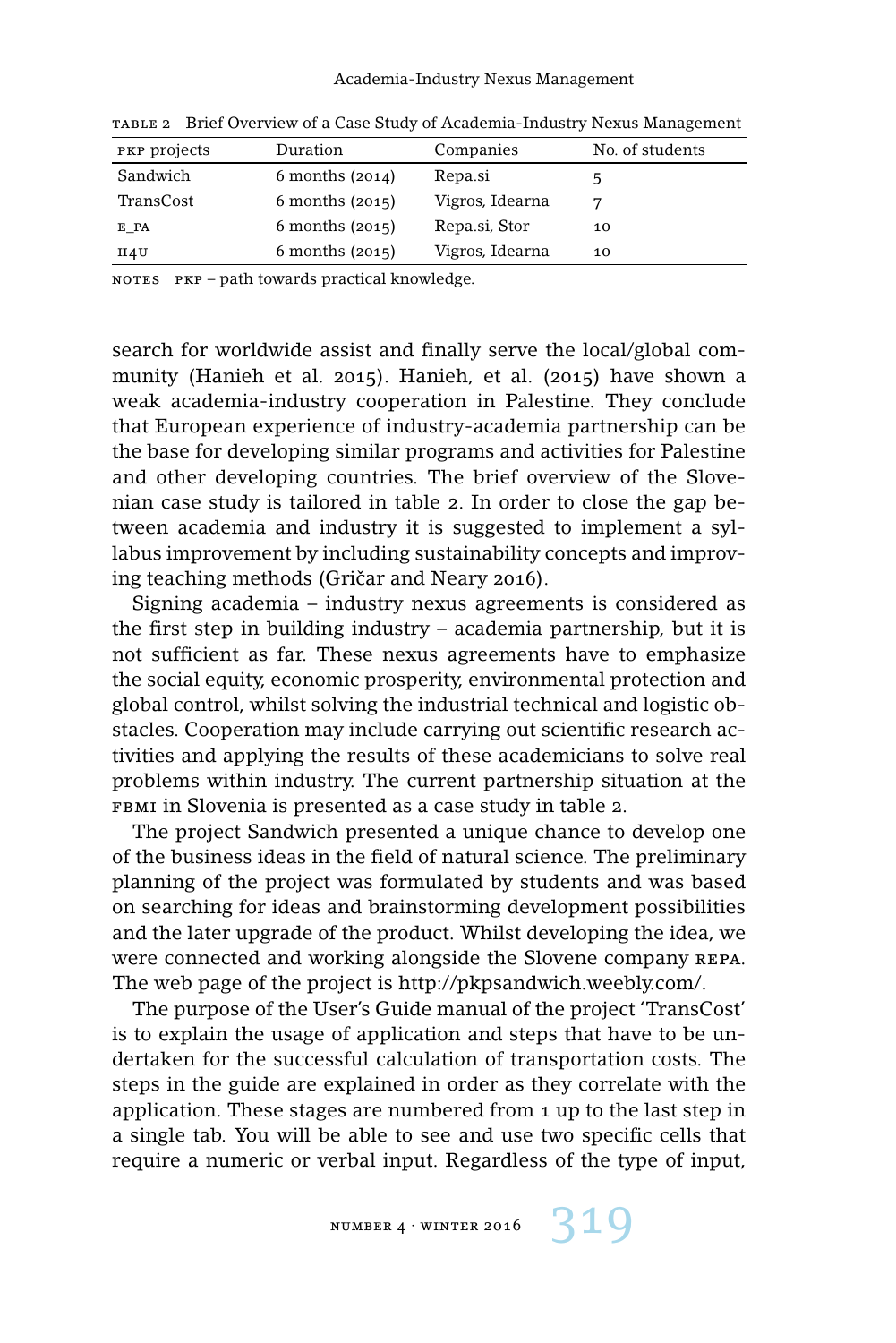| PKP projects | Duration            | Companies       | No. of students |
|--------------|---------------------|-----------------|-----------------|
| Sandwich     | $6$ months $(2014)$ | Repa.si         |                 |
| TransCost    | $6$ months $(2015)$ | Vigros, Idearna |                 |
| E_PA         | $6$ months $(2015)$ | Repa.si, Stor   | 10              |
| H4U          | $6$ months $(2015)$ | Vigros, Idearna | 10              |

table 2 Brief Overview of a Case Study of Academia-Industry Nexus Management

notes pkp – path towards practical knowledge.

search for worldwide assist and finally serve the local/global community (Hanieh et al. 2015). Hanieh, et al. (2015) have shown a weak academia-industry cooperation in Palestine. They conclude that European experience of industry-academia partnership can be the base for developing similar programs and activities for Palestine and other developing countries. The brief overview of the Slovenian case study is tailored in table 2. In order to close the gap between academia and industry it is suggested to implement a syllabus improvement by including sustainability concepts and improving teaching methods (Gričar and Neary 2016).

Signing academia – industry nexus agreements is considered as the first step in building industry – academia partnership, but it is not sufficient as far. These nexus agreements have to emphasize the social equity, economic prosperity, environmental protection and global control, whilst solving the industrial technical and logistic obstacles. Cooperation may include carrying out scientific research activities and applying the results of these academicians to solve real problems within industry. The current partnership situation at the FBMI in Slovenia is presented as a case study in table 2.

The project Sandwich presented a unique chance to develop one of the business ideas in the field of natural science. The preliminary planning of the project was formulated by students and was based on searching for ideas and brainstorming development possibilities and the later upgrade of the product. Whilst developing the idea, we were connected and working alongside the Slovene company repa. The web page of the project is http://pkpsandwich.weebly.com/.

The purpose of the User's Guide manual of the project 'TransCost' is to explain the usage of application and steps that have to be undertaken for the successful calculation of transportation costs. The steps in the guide are explained in order as they correlate with the application. These stages are numbered from 1 up to the last step in a single tab. You will be able to see and use two specific cells that require a numeric or verbal input. Regardless of the type of input,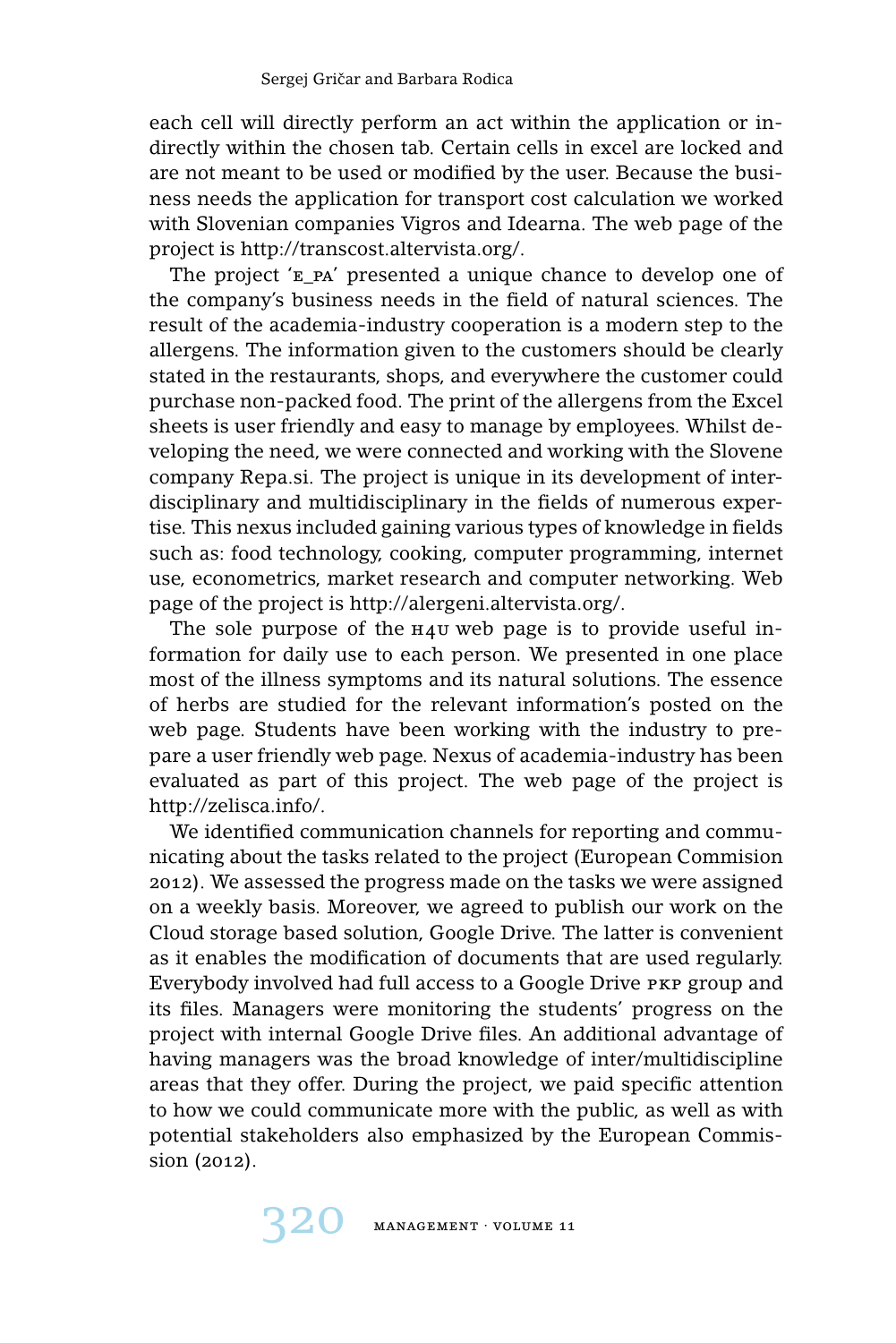each cell will directly perform an act within the application or indirectly within the chosen tab. Certain cells in excel are locked and are not meant to be used or modified by the user. Because the business needs the application for transport cost calculation we worked with Slovenian companies Vigros and Idearna. The web page of the project is http://transcost.altervista.org/.

The project 'e\_pa' presented a unique chance to develop one of the company's business needs in the field of natural sciences. The result of the academia-industry cooperation is a modern step to the allergens. The information given to the customers should be clearly stated in the restaurants, shops, and everywhere the customer could purchase non-packed food. The print of the allergens from the Excel sheets is user friendly and easy to manage by employees. Whilst developing the need, we were connected and working with the Slovene company Repa.si. The project is unique in its development of interdisciplinary and multidisciplinary in the fields of numerous expertise. This nexus included gaining various types of knowledge in fields such as: food technology, cooking, computer programming, internet use, econometrics, market research and computer networking. Web page of the project is http://alergeni.altervista.org/.

The sole purpose of the  $H_4$ u web page is to provide useful information for daily use to each person. We presented in one place most of the illness symptoms and its natural solutions. The essence of herbs are studied for the relevant information's posted on the web page. Students have been working with the industry to prepare a user friendly web page. Nexus of academia-industry has been evaluated as part of this project. The web page of the project is http://zelisca.info/.

We identified communication channels for reporting and communicating about the tasks related to the project (European Commision 2012). We assessed the progress made on the tasks we were assigned on a weekly basis. Moreover, we agreed to publish our work on the Cloud storage based solution, Google Drive. The latter is convenient as it enables the modification of documents that are used regularly. Everybody involved had full access to a Google Drive pkp group and its files. Managers were monitoring the students' progress on the project with internal Google Drive files. An additional advantage of having managers was the broad knowledge of inter/multidiscipline areas that they offer. During the project, we paid specific attention to how we could communicate more with the public, as well as with potential stakeholders also emphasized by the European Commission (2012).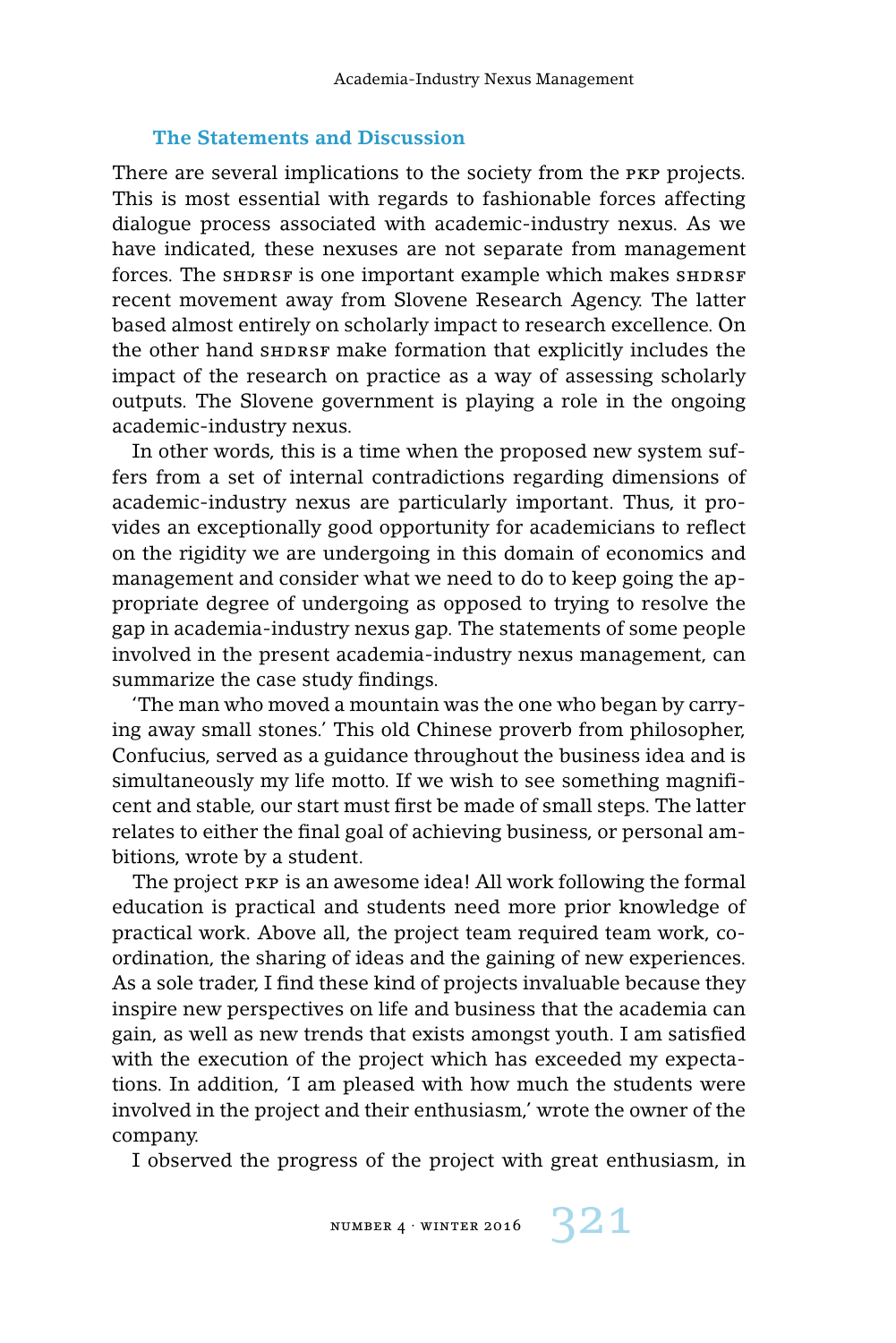#### **The Statements and Discussion**

There are several implications to the society from the PKP projects. This is most essential with regards to fashionable forces affecting dialogue process associated with academic-industry nexus. As we have indicated, these nexuses are not separate from management forces. The SHDRSF is one important example which makes SHDRSF recent movement away from Slovene Research Agency. The latter based almost entirely on scholarly impact to research excellence. On the other hand shprsf make formation that explicitly includes the impact of the research on practice as a way of assessing scholarly outputs. The Slovene government is playing a role in the ongoing academic-industry nexus.

In other words, this is a time when the proposed new system suffers from a set of internal contradictions regarding dimensions of academic-industry nexus are particularly important. Thus, it provides an exceptionally good opportunity for academicians to reflect on the rigidity we are undergoing in this domain of economics and management and consider what we need to do to keep going the appropriate degree of undergoing as opposed to trying to resolve the gap in academia-industry nexus gap. The statements of some people involved in the present academia-industry nexus management, can summarize the case study findings.

'The man who moved a mountain was the one who began by carrying away small stones.' This old Chinese proverb from philosopher, Confucius, served as a guidance throughout the business idea and is simultaneously my life motto. If we wish to see something magnificent and stable, our start must first be made of small steps. The latter relates to either the final goal of achieving business, or personal ambitions, wrote by a student.

The project pkp is an awesome idea! All work following the formal education is practical and students need more prior knowledge of practical work. Above all, the project team required team work, coordination, the sharing of ideas and the gaining of new experiences. As a sole trader, I find these kind of projects invaluable because they inspire new perspectives on life and business that the academia can gain, as well as new trends that exists amongst youth. I am satisfied with the execution of the project which has exceeded my expectations. In addition, 'I am pleased with how much the students were involved in the project and their enthusiasm,' wrote the owner of the company.

I observed the progress of the project with great enthusiasm, in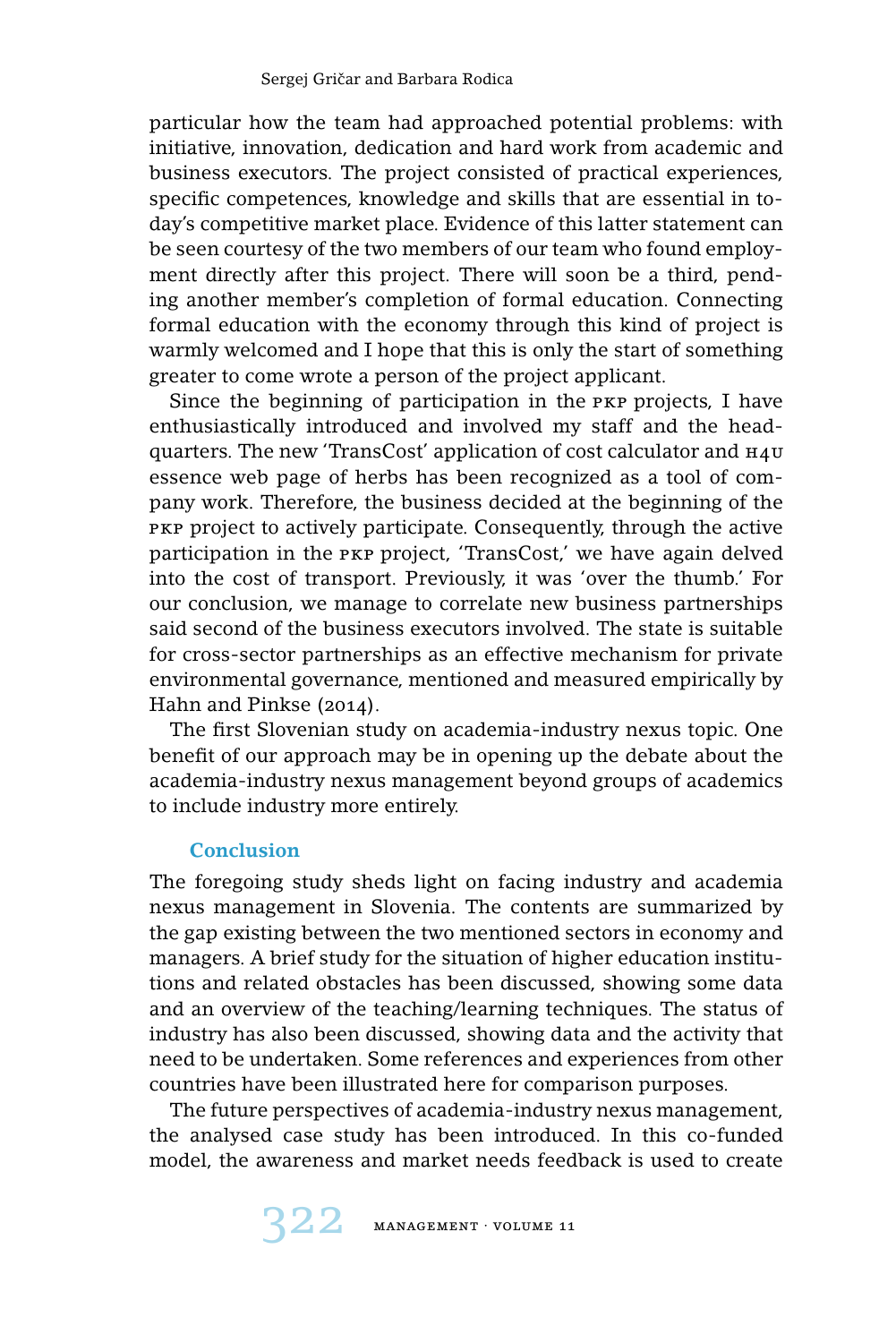particular how the team had approached potential problems: with initiative, innovation, dedication and hard work from academic and business executors. The project consisted of practical experiences, specific competences, knowledge and skills that are essential in today's competitive market place. Evidence of this latter statement can be seen courtesy of the two members of our team who found employment directly after this project. There will soon be a third, pending another member's completion of formal education. Connecting formal education with the economy through this kind of project is warmly welcomed and I hope that this is only the start of something greater to come wrote a person of the project applicant.

Since the beginning of participation in the PKP projects, I have enthusiastically introduced and involved my staff and the headquarters. The new 'TransCost' application of cost calculator and h4u essence web page of herbs has been recognized as a tool of company work. Therefore, the business decided at the beginning of the PKP project to actively participate. Consequently, through the active participation in the pkp project, 'TransCost,' we have again delved into the cost of transport. Previously, it was 'over the thumb.' For our conclusion, we manage to correlate new business partnerships said second of the business executors involved. The state is suitable for cross-sector partnerships as an effective mechanism for private environmental governance, mentioned and measured empirically by Hahn and Pinkse (2014).

The first Slovenian study on academia-industry nexus topic. One benefit of our approach may be in opening up the debate about the academia-industry nexus management beyond groups of academics to include industry more entirely.

# **Conclusion**

The foregoing study sheds light on facing industry and academia nexus management in Slovenia. The contents are summarized by the gap existing between the two mentioned sectors in economy and managers. A brief study for the situation of higher education institutions and related obstacles has been discussed, showing some data and an overview of the teaching/learning techniques. The status of industry has also been discussed, showing data and the activity that need to be undertaken. Some references and experiences from other countries have been illustrated here for comparison purposes.

The future perspectives of academia-industry nexus management, the analysed case study has been introduced. In this co-funded model, the awareness and market needs feedback is used to create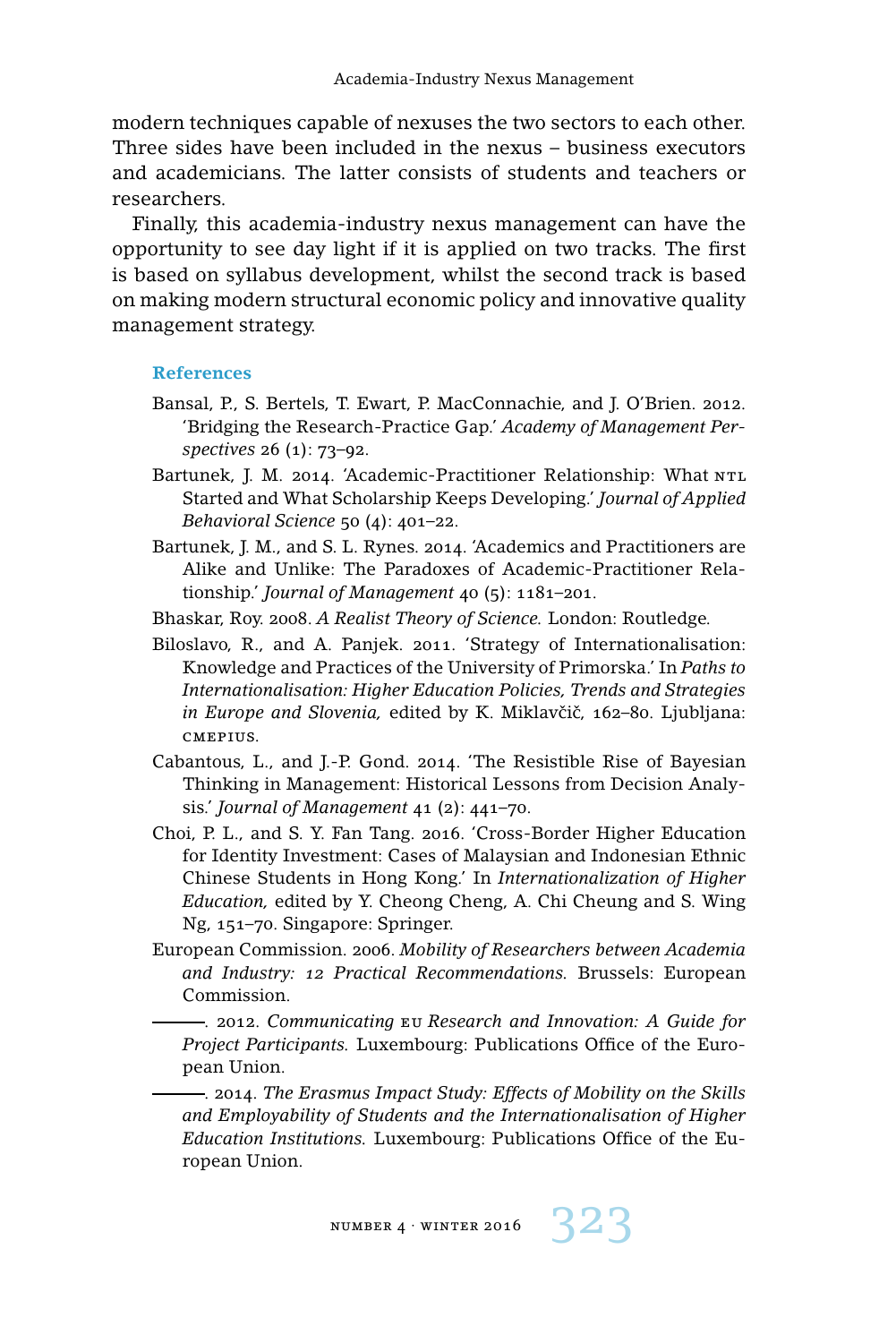modern techniques capable of nexuses the two sectors to each other. Three sides have been included in the nexus – business executors and academicians. The latter consists of students and teachers or researchers.

Finally, this academia-industry nexus management can have the opportunity to see day light if it is applied on two tracks. The first is based on syllabus development, whilst the second track is based on making modern structural economic policy and innovative quality management strategy.

#### **References**

- Bansal, P., S. Bertels, T. Ewart, P. MacConnachie, and J. O'Brien. 2012. 'Bridging the Research-Practice Gap.' *Academy of Management Perspectives* 26 (1): 73–92.
- Bartunek, J. M. 2014. 'Academic-Practitioner Relationship: What NTL Started and What Scholarship Keeps Developing.' *Journal of Applied Behavioral Science* 50 (4): 401–22.
- Bartunek, J. M., and S. L. Rynes. 2014. 'Academics and Practitioners are Alike and Unlike: The Paradoxes of Academic-Practitioner Relationship.' *Journal of Management* 40 (5): 1181–201.
- Bhaskar, Roy. 2008. *A Realist Theory of Science.* London: Routledge.
- Biloslavo, R., and A. Panjek. 2011. 'Strategy of Internationalisation: Knowledge and Practices of the University of Primorska.' In *Paths to Internationalisation: Higher Education Policies, Trends and Strategies in Europe and Slovenia, edited by K. Miklavčič, 162-80. Ljubljana:* cmepius.
- Cabantous, L., and J.-P. Gond. 2014. 'The Resistible Rise of Bayesian Thinking in Management: Historical Lessons from Decision Analysis.' *Journal of Management* 41 (2): 441–70.
- Choi, P. L., and S. Y. Fan Tang. 2016. 'Cross-Border Higher Education for Identity Investment: Cases of Malaysian and Indonesian Ethnic Chinese Students in Hong Kong.' In *Internationalization of Higher Education,* edited by Y. Cheong Cheng, A. Chi Cheung and S. Wing Ng, 151–70. Singapore: Springer.
- European Commission. 2006. *Mobility of Researchers between Academia and Industry: 12 Practical Recommendations.* Brussels: European Commission.

. 2012. *Communicating* eu *Research and Innovation: A Guide for Project Participants.* Luxembourg: Publications Office of the European Union.

. 2014. *The Erasmus Impact Study: Effects of Mobility on the Skills and Employability of Students and the Internationalisation of Higher Education Institutions.* Luxembourg: Publications Office of the European Union.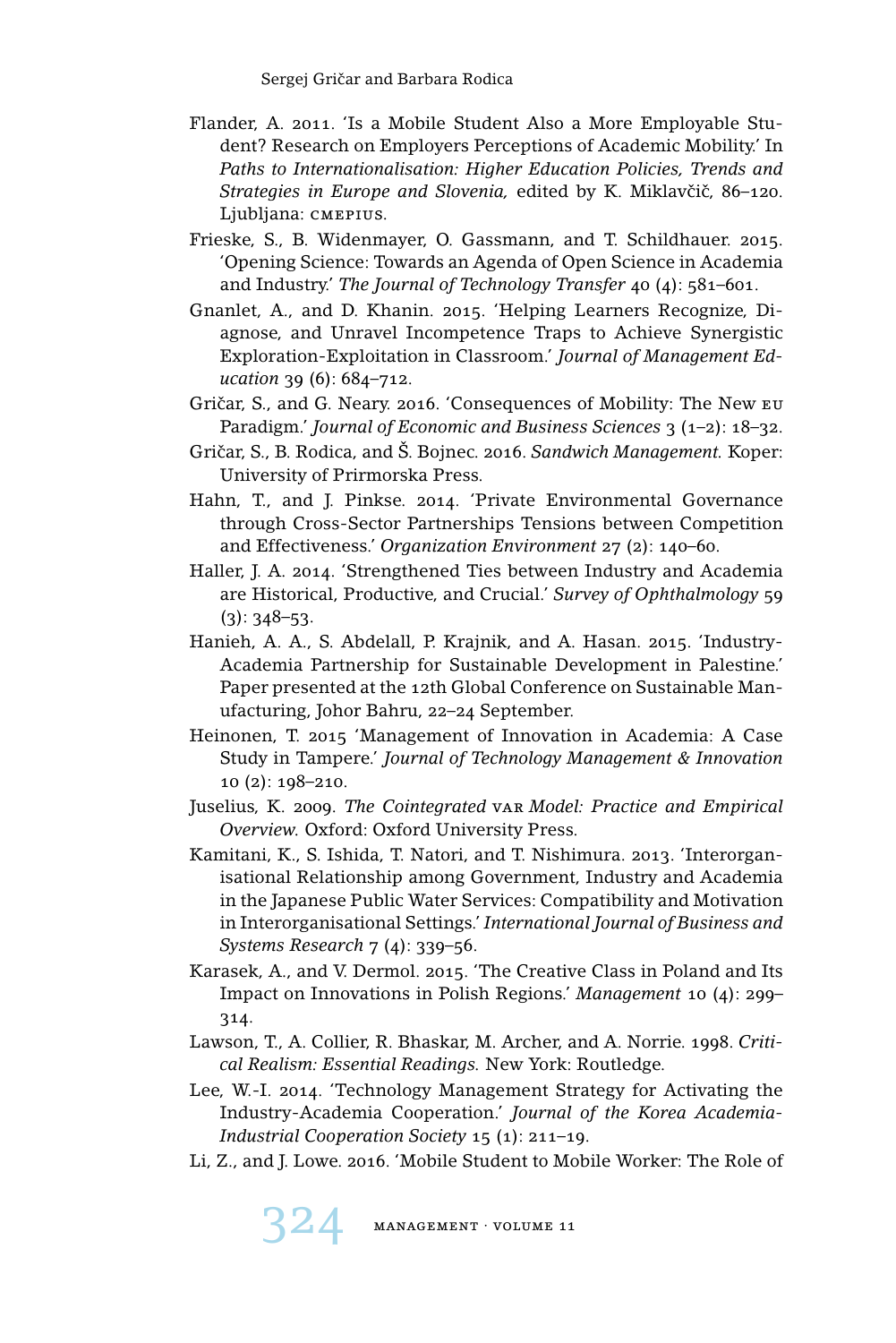- Flander, A. 2011. 'Is a Mobile Student Also a More Employable Student? Research on Employers Perceptions of Academic Mobility.' In *Paths to Internationalisation: Higher Education Policies, Trends and* Strategies in Europe and Slovenia, edited by K. Miklavčič, 86-120. Ljubljana: cmepius.
- Frieske, S., B. Widenmayer, O. Gassmann, and T. Schildhauer. 2015. 'Opening Science: Towards an Agenda of Open Science in Academia and Industry.' *The Journal of Technology Transfer* 40 (4): 581–601.
- Gnanlet, A., and D. Khanin. 2015. 'Helping Learners Recognize, Diagnose, and Unravel Incompetence Traps to Achieve Synergistic Exploration-Exploitation in Classroom.' *Journal of Management Education* 39 (6): 684–712.
- Gričar, S., and G. Neary. 2016. 'Consequences of Mobility: The New EU Paradigm.' *Journal of Economic and Business Sciences* 3 (1–2): 18–32.
- Gričar, S., B. Rodica, and Š. Bojnec. 2016. Sandwich Management. Koper: University of Prirmorska Press.
- Hahn, T., and J. Pinkse. 2014. 'Private Environmental Governance through Cross-Sector Partnerships Tensions between Competition and Effectiveness.' *Organization Environment* 27 (2): 140–60.
- Haller, J. A. 2014. 'Strengthened Ties between Industry and Academia are Historical, Productive, and Crucial.' *Survey of Ophthalmology* 59  $(3): 348 - 53.$
- Hanieh, A. A., S. Abdelall, P. Krajnik, and A. Hasan. 2015. 'Industry-Academia Partnership for Sustainable Development in Palestine.' Paper presented at the 12th Global Conference on Sustainable Manufacturing, Johor Bahru, 22–24 September.
- Heinonen, T. 2015 'Management of Innovation in Academia: A Case Study in Tampere.' *Journal of Technology Management & Innovation* 10 (2): 198–210.
- Juselius, K. 2009. *The Cointegrated* var *Model: Practice and Empirical Overview.* Oxford: Oxford University Press.
- Kamitani, K., S. Ishida, T. Natori, and T. Nishimura. 2013. 'Interorganisational Relationship among Government, Industry and Academia in the Japanese Public Water Services: Compatibility and Motivation in Interorganisational Settings.' *International Journal of Business and Systems Research* 7 (4): 339–56.
- Karasek, A., and V. Dermol. 2015. 'The Creative Class in Poland and Its Impact on Innovations in Polish Regions.' *Management* 10 (4): 299– 314.
- Lawson, T., A. Collier, R. Bhaskar, M. Archer, and A. Norrie. 1998. *Critical Realism: Essential Readings.* New York: Routledge.
- Lee, W.-I. 2014. 'Technology Management Strategy for Activating the Industry-Academia Cooperation.' *Journal of the Korea Academia-Industrial Cooperation Society* 15 (1): 211–19.
- Li, Z., and J. Lowe. 2016. 'Mobile Student to Mobile Worker: The Role of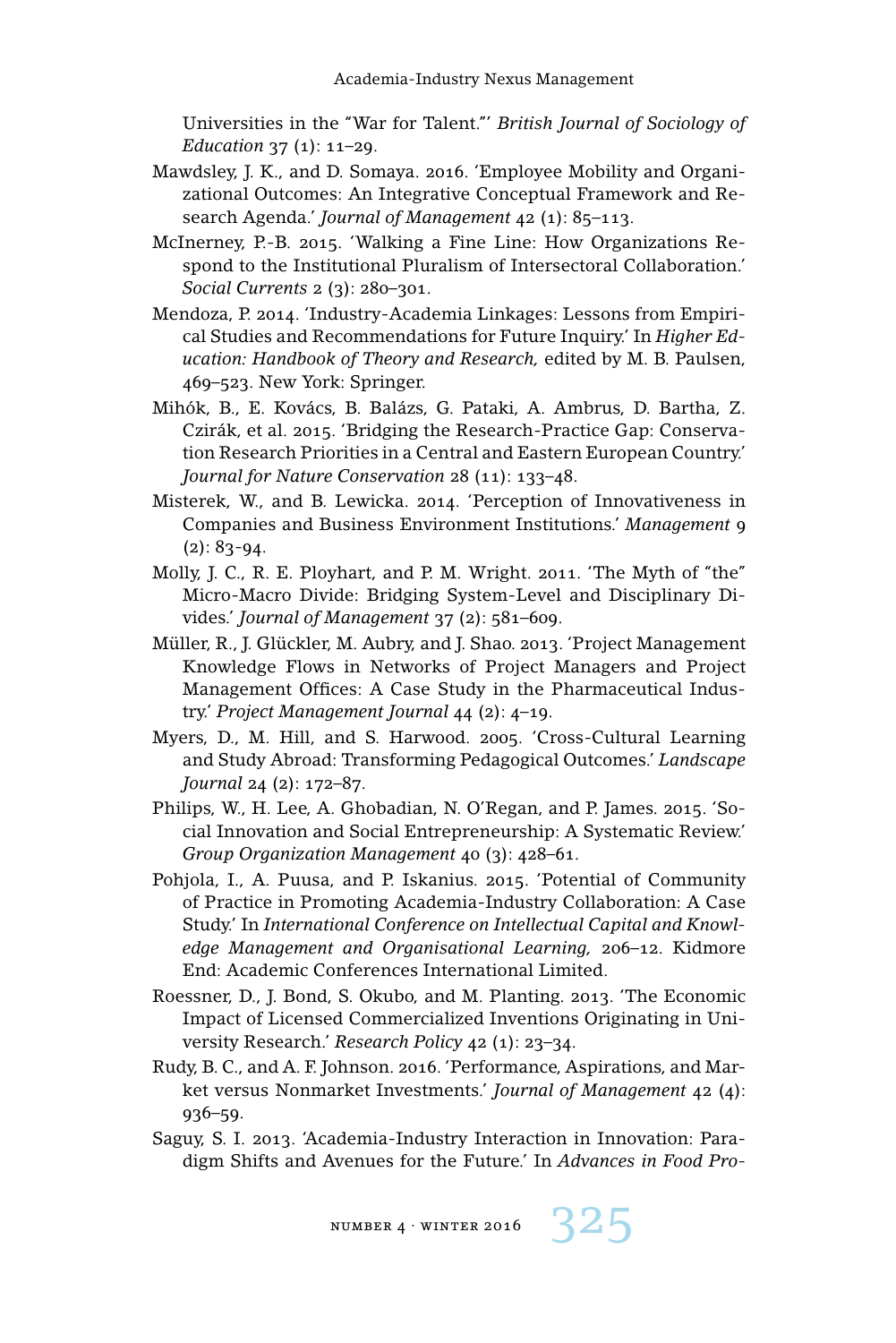Universities in the "War for Talent."' *British Journal of Sociology of Education* 37 (1): 11–29.

- Mawdsley, J. K., and D. Somaya. 2016. 'Employee Mobility and Organizational Outcomes: An Integrative Conceptual Framework and Research Agenda.' *Journal of Management* 42 (1): 85–113.
- McInerney, P.-B. 2015. 'Walking a Fine Line: How Organizations Respond to the Institutional Pluralism of Intersectoral Collaboration.' *Social Currents* 2 (3): 280–301.
- Mendoza, P. 2014. 'Industry-Academia Linkages: Lessons from Empirical Studies and Recommendations for Future Inquiry.' In *Higher Education: Handbook of Theory and Research,* edited by M. B. Paulsen, 469–523. New York: Springer.
- Mihók, B., E. Kovács, B. Balázs, G. Pataki, A. Ambrus, D. Bartha, Z. Czirák, et al. 2015. 'Bridging the Research-Practice Gap: Conservation Research Priorities in a Central and Eastern European Country.' *Journal for Nature Conservation* 28 (11): 133–48.
- Misterek, W., and B. Lewicka. 2014. 'Perception of Innovativeness in Companies and Business Environment Institutions.' *Management* 9  $(2): 83-94.$
- Molly, J. C., R. E. Ployhart, and P. M. Wright. 2011. 'The Myth of "the" Micro-Macro Divide: Bridging System-Level and Disciplinary Divides.' *Journal of Management* 37 (2): 581–609.
- Müller, R., J. Glückler, M. Aubry, and J. Shao. 2013. 'Project Management Knowledge Flows in Networks of Project Managers and Project Management Offices: A Case Study in the Pharmaceutical Industry.' *Project Management Journal* 44 (2): 4–19.
- Myers, D., M. Hill, and S. Harwood. 2005. 'Cross-Cultural Learning and Study Abroad: Transforming Pedagogical Outcomes.' *Landscape Journal* 24 (2): 172–87.
- Philips, W., H. Lee, A. Ghobadian, N. O'Regan, and P. James. 2015. 'Social Innovation and Social Entrepreneurship: A Systematic Review.' *Group Organization Management* 40 (3): 428–61.
- Pohjola, I., A. Puusa, and P. Iskanius. 2015. 'Potential of Community of Practice in Promoting Academia-Industry Collaboration: A Case Study.' In *International Conference on Intellectual Capital and Knowledge Management and Organisational Learning,* 206–12. Kidmore End: Academic Conferences International Limited.
- Roessner, D., J. Bond, S. Okubo, and M. Planting. 2013. 'The Economic Impact of Licensed Commercialized Inventions Originating in University Research.' *Research Policy* 42 (1): 23–34.
- Rudy, B. C., and A. F. Johnson. 2016. 'Performance, Aspirations, and Market versus Nonmarket Investments.' *Journal of Management* 42 (4): 936–59.
- Saguy, S. I. 2013. 'Academia-Industry Interaction in Innovation: Paradigm Shifts and Avenues for the Future.' In *Advances in Food Pro-*